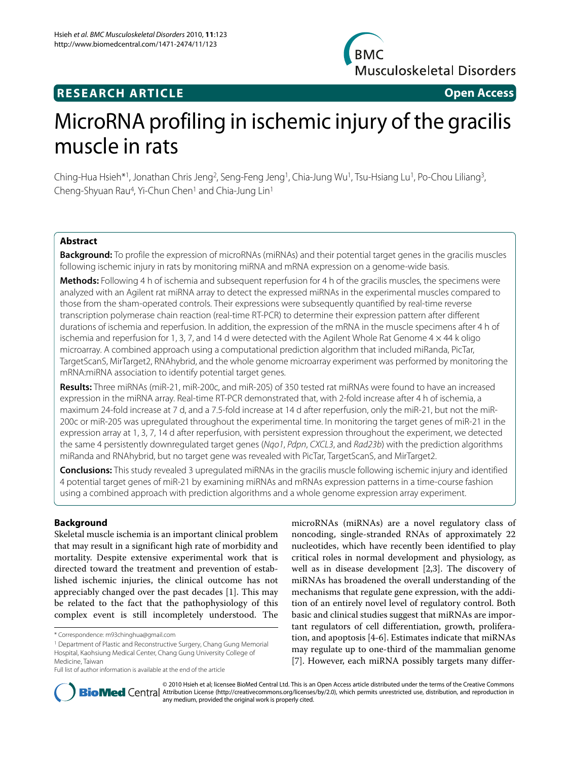

## **RESEARCH ARTICLE Open Access**

# MicroRNA profiling in ischemic injury of the gracilis muscle in rats

Ching-Hua Hsieh\*1, Jonathan Chris Jeng<sup>2</sup>, Seng-Feng Jeng<sup>1</sup>, Chia-Jung Wu<sup>1</sup>, Tsu-Hsiang Lu<sup>1</sup>, Po-Chou Liliang<sup>3</sup>, Cheng-Shyuan Rau<sup>4</sup>, Yi-Chun Chen<sup>1</sup> and Chia-Jung Lin<sup>1</sup>

## **Abstract**

**Background:** To profile the expression of microRNAs (miRNAs) and their potential target genes in the gracilis muscles following ischemic injury in rats by monitoring miRNA and mRNA expression on a genome-wide basis.

**Methods:** Following 4 h of ischemia and subsequent reperfusion for 4 h of the gracilis muscles, the specimens were analyzed with an Agilent rat miRNA array to detect the expressed miRNAs in the experimental muscles compared to those from the sham-operated controls. Their expressions were subsequently quantified by real-time reverse transcription polymerase chain reaction (real-time RT-PCR) to determine their expression pattern after different durations of ischemia and reperfusion. In addition, the expression of the mRNA in the muscle specimens after 4 h of ischemia and reperfusion for 1, 3, 7, and 14 d were detected with the Agilent Whole Rat Genome  $4 \times 44$  k oligo microarray. A combined approach using a computational prediction algorithm that included miRanda, PicTar, TargetScanS, MirTarget2, RNAhybrid, and the whole genome microarray experiment was performed by monitoring the mRNA:miRNA association to identify potential target genes.

**Results:** Three miRNAs (miR-21, miR-200c, and miR-205) of 350 tested rat miRNAs were found to have an increased expression in the miRNA array. Real-time RT-PCR demonstrated that, with 2-fold increase after 4 h of ischemia, a maximum 24-fold increase at 7 d, and a 7.5-fold increase at 14 d after reperfusion, only the miR-21, but not the miR-200c or miR-205 was upregulated throughout the experimental time. In monitoring the target genes of miR-21 in the expression array at 1, 3, 7, 14 d after reperfusion, with persistent expression throughout the experiment, we detected the same 4 persistently downregulated target genes (Ngo1, Pdpn, CXCL3, and Rad23b) with the prediction algorithms miRanda and RNAhybrid, but no target gene was revealed with PicTar, TargetScanS, and MirTarget2.

**Conclusions:** This study revealed 3 upregulated miRNAs in the gracilis muscle following ischemic injury and identified 4 potential target genes of miR-21 by examining miRNAs and mRNAs expression patterns in a time-course fashion using a combined approach with prediction algorithms and a whole genome expression array experiment.

## **Background**

Skeletal muscle ischemia is an important clinical problem that may result in a significant high rate of morbidity and mortality. Despite extensive experimental work that is directed toward the treatment and prevention of established ischemic injuries, the clinical outcome has not appreciably changed over the past decades [[1\]](#page-7-0). This may be related to the fact that the pathophysiology of this complex event is still incompletely understood. The

microRNAs (miRNAs) are a novel regulatory class of noncoding, single-stranded RNAs of approximately 22 nucleotides, which have recently been identified to play critical roles in normal development and physiology, as well as in disease development [[2,](#page-7-1)[3\]](#page-7-2). The discovery of miRNAs has broadened the overall understanding of the mechanisms that regulate gene expression, with the addition of an entirely novel level of regulatory control. Both basic and clinical studies suggest that miRNAs are important regulators of cell differentiation, growth, proliferation, and apoptosis [\[4](#page-7-3)-[6\]](#page-7-4). Estimates indicate that miRNAs may regulate up to one-third of the mammalian genome [[7\]](#page-7-5). However, each miRNA possibly targets many differ-



© 2010 Hsieh et al; licensee BioMed Central Ltd. This is an Open Access article distributed under the terms of the Creative Commons **Bio Med** Central Attribution License (http://creativecommons.org/licenses/by/2.0), which permits unrestricted use, distribution, and reproduction in any medium, provided the original work is properly cited.

<sup>\*</sup> Correspondence: m93chinghua@gmail.com

<sup>&</sup>lt;sup>1</sup> Department of Plastic and Reconstructive Surgery, Chang Gung Memorial Hospital, Kaohsiung Medical Center, Chang Gung University College of Medicine, Taiwan

Full list of author information is available at the end of the article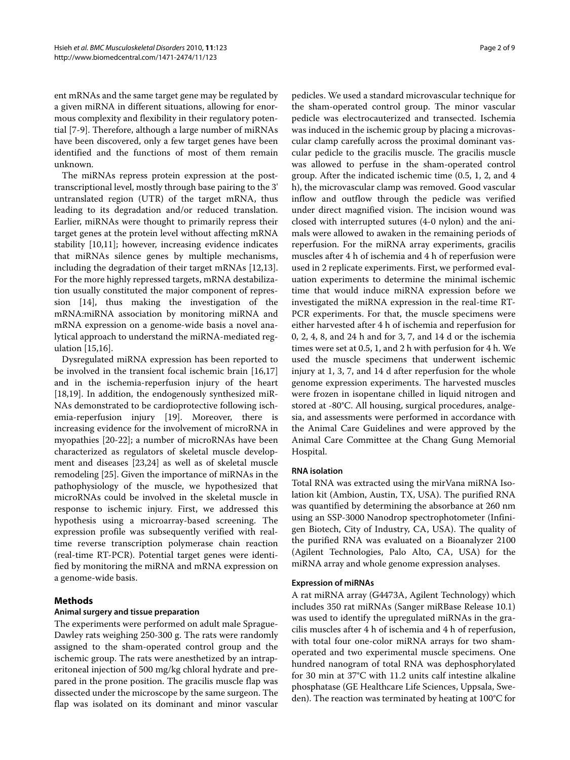ent mRNAs and the same target gene may be regulated by a given miRNA in different situations, allowing for enormous complexity and flexibility in their regulatory potential [\[7](#page-7-5)-[9\]](#page-7-6). Therefore, although a large number of miRNAs have been discovered, only a few target genes have been identified and the functions of most of them remain unknown.

The miRNAs repress protein expression at the posttranscriptional level, mostly through base pairing to the 3' untranslated region (UTR) of the target mRNA, thus leading to its degradation and/or reduced translation. Earlier, miRNAs were thought to primarily repress their target genes at the protein level without affecting mRNA stability [\[10](#page-7-7)[,11](#page-7-8)]; however, increasing evidence indicates that miRNAs silence genes by multiple mechanisms, including the degradation of their target mRNAs [\[12](#page-7-9)[,13](#page-7-10)]. For the more highly repressed targets, mRNA destabilization usually constituted the major component of repression [[14\]](#page-7-11), thus making the investigation of the mRNA:miRNA association by monitoring miRNA and mRNA expression on a genome-wide basis a novel analytical approach to understand the miRNA-mediated regulation [[15,](#page-7-12)[16\]](#page-7-13).

Dysregulated miRNA expression has been reported to be involved in the transient focal ischemic brain [\[16](#page-7-13),[17](#page-7-14)] and in the ischemia-reperfusion injury of the heart [[18,](#page-7-15)[19\]](#page-7-16). In addition, the endogenously synthesized miR-NAs demonstrated to be cardioprotective following ischemia-reperfusion injury [\[19](#page-7-16)]. Moreover, there is increasing evidence for the involvement of microRNA in myopathies [[20-](#page-7-17)[22](#page-7-18)]; a number of microRNAs have been characterized as regulators of skeletal muscle development and diseases [\[23](#page-7-19)[,24](#page-7-20)] as well as of skeletal muscle remodeling [[25\]](#page-7-21). Given the importance of miRNAs in the pathophysiology of the muscle, we hypothesized that microRNAs could be involved in the skeletal muscle in response to ischemic injury. First, we addressed this hypothesis using a microarray-based screening. The expression profile was subsequently verified with realtime reverse transcription polymerase chain reaction (real-time RT-PCR). Potential target genes were identified by monitoring the miRNA and mRNA expression on a genome-wide basis.

## **Methods**

## **Animal surgery and tissue preparation**

The experiments were performed on adult male Sprague-Dawley rats weighing 250-300 g. The rats were randomly assigned to the sham-operated control group and the ischemic group. The rats were anesthetized by an intraperitoneal injection of 500 mg/kg chloral hydrate and prepared in the prone position. The gracilis muscle flap was dissected under the microscope by the same surgeon. The flap was isolated on its dominant and minor vascular

pedicles. We used a standard microvascular technique for the sham-operated control group. The minor vascular pedicle was electrocauterized and transected. Ischemia was induced in the ischemic group by placing a microvascular clamp carefully across the proximal dominant vascular pedicle to the gracilis muscle. The gracilis muscle was allowed to perfuse in the sham-operated control group. After the indicated ischemic time (0.5, 1, 2, and 4 h), the microvascular clamp was removed. Good vascular inflow and outflow through the pedicle was verified under direct magnified vision. The incision wound was closed with interrupted sutures (4-0 nylon) and the animals were allowed to awaken in the remaining periods of reperfusion. For the miRNA array experiments, gracilis muscles after 4 h of ischemia and 4 h of reperfusion were used in 2 replicate experiments. First, we performed evaluation experiments to determine the minimal ischemic time that would induce miRNA expression before we investigated the miRNA expression in the real-time RT-PCR experiments. For that, the muscle specimens were either harvested after 4 h of ischemia and reperfusion for 0, 2, 4, 8, and 24 h and for 3, 7, and 14 d or the ischemia times were set at 0.5, 1, and 2 h with perfusion for 4 h. We used the muscle specimens that underwent ischemic injury at 1, 3, 7, and 14 d after reperfusion for the whole genome expression experiments. The harvested muscles were frozen in isopentane chilled in liquid nitrogen and stored at -80°C. All housing, surgical procedures, analgesia, and assessments were performed in accordance with the Animal Care Guidelines and were approved by the Animal Care Committee at the Chang Gung Memorial Hospital.

## **RNA isolation**

Total RNA was extracted using the mirVana miRNA Isolation kit (Ambion, Austin, TX, USA). The purified RNA was quantified by determining the absorbance at 260 nm using an SSP-3000 Nanodrop spectrophotometer (Infinigen Biotech, City of Industry, CA, USA). The quality of the purified RNA was evaluated on a Bioanalyzer 2100 (Agilent Technologies, Palo Alto, CA, USA) for the miRNA array and whole genome expression analyses.

## **Expression of miRNAs**

A rat miRNA array (G4473A, Agilent Technology) which includes 350 rat miRNAs (Sanger miRBase Release 10.1) was used to identify the upregulated miRNAs in the gracilis muscles after 4 h of ischemia and 4 h of reperfusion, with total four one-color miRNA arrays for two shamoperated and two experimental muscle specimens. One hundred nanogram of total RNA was dephosphorylated for 30 min at 37°C with 11.2 units calf intestine alkaline phosphatase (GE Healthcare Life Sciences, Uppsala, Sweden). The reaction was terminated by heating at 100°C for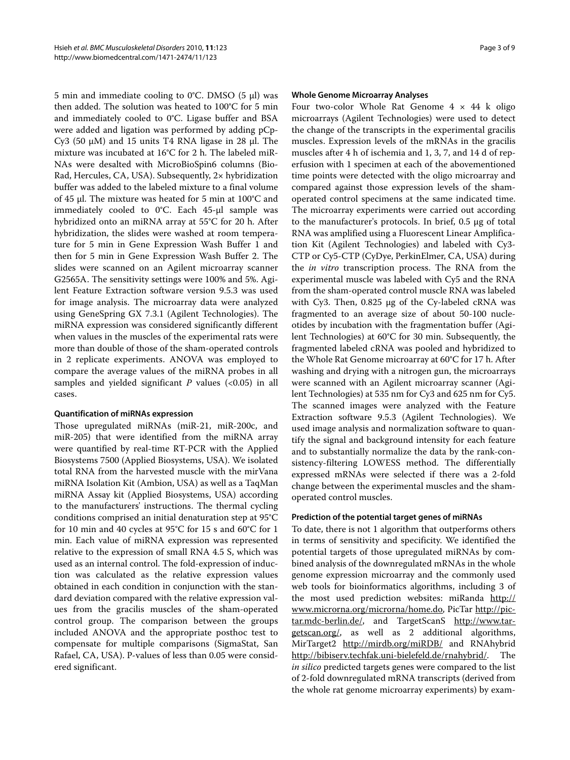5 min and immediate cooling to 0°C. DMSO (5 μl) was then added. The solution was heated to 100°C for 5 min and immediately cooled to 0°C. Ligase buffer and BSA were added and ligation was performed by adding pCp-Cy3 (50 μM) and 15 units T4 RNA ligase in 28 μl. The mixture was incubated at 16°C for 2 h. The labeled miR-NAs were desalted with MicroBioSpin6 columns (Bio-Rad, Hercules, CA, USA). Subsequently, 2× hybridization buffer was added to the labeled mixture to a final volume of 45 μl. The mixture was heated for 5 min at 100°C and immediately cooled to 0°C. Each 45-μl sample was hybridized onto an miRNA array at 55°C for 20 h. After hybridization, the slides were washed at room temperature for 5 min in Gene Expression Wash Buffer 1 and then for 5 min in Gene Expression Wash Buffer 2. The slides were scanned on an Agilent microarray scanner G2565A. The sensitivity settings were 100% and 5%. Agilent Feature Extraction software version 9.5.3 was used for image analysis. The microarray data were analyzed using GeneSpring GX 7.3.1 (Agilent Technologies). The miRNA expression was considered significantly different when values in the muscles of the experimental rats were more than double of those of the sham-operated controls in 2 replicate experiments. ANOVA was employed to compare the average values of the miRNA probes in all samples and yielded significant *P* values (<0.05) in all cases.

#### **Quantification of miRNAs expression**

Those upregulated miRNAs (miR-21, miR-200c, and miR-205) that were identified from the miRNA array were quantified by real-time RT-PCR with the Applied Biosystems 7500 (Applied Biosystems, USA). We isolated total RNA from the harvested muscle with the mirVana miRNA Isolation Kit (Ambion, USA) as well as a TaqMan miRNA Assay kit (Applied Biosystems, USA) according to the manufacturers' instructions. The thermal cycling conditions comprised an initial denaturation step at 95°C for 10 min and 40 cycles at 95°C for 15 s and 60°C for 1 min. Each value of miRNA expression was represented relative to the expression of small RNA 4.5 S, which was used as an internal control. The fold-expression of induction was calculated as the relative expression values obtained in each condition in conjunction with the standard deviation compared with the relative expression values from the gracilis muscles of the sham-operated control group. The comparison between the groups included ANOVA and the appropriate posthoc test to compensate for multiple comparisons (SigmaStat, San Rafael, CA, USA). P-values of less than 0.05 were considered significant.

#### **Whole Genome Microarray Analyses**

Four two-color Whole Rat Genome  $4 \times 44$  k oligo microarrays (Agilent Technologies) were used to detect the change of the transcripts in the experimental gracilis muscles. Expression levels of the mRNAs in the gracilis muscles after 4 h of ischemia and 1, 3, 7, and 14 d of reperfusion with 1 specimen at each of the abovementioned time points were detected with the oligo microarray and compared against those expression levels of the shamoperated control specimens at the same indicated time. The microarray experiments were carried out according to the manufacturer's protocols. In brief, 0.5 μg of total RNA was amplified using a Fluorescent Linear Amplification Kit (Agilent Technologies) and labeled with Cy3- CTP or Cy5-CTP (CyDye, PerkinElmer, CA, USA) during the *in vitro* transcription process. The RNA from the experimental muscle was labeled with Cy5 and the RNA from the sham-operated control muscle RNA was labeled with Cy3. Then, 0.825 μg of the Cy-labeled cRNA was fragmented to an average size of about 50-100 nucleotides by incubation with the fragmentation buffer (Agilent Technologies) at 60°C for 30 min. Subsequently, the fragmented labeled cRNA was pooled and hybridized to the Whole Rat Genome microarray at 60°C for 17 h. After washing and drying with a nitrogen gun, the microarrays were scanned with an Agilent microarray scanner (Agilent Technologies) at 535 nm for Cy3 and 625 nm for Cy5. The scanned images were analyzed with the Feature Extraction software 9.5.3 (Agilent Technologies). We used image analysis and normalization software to quantify the signal and background intensity for each feature and to substantially normalize the data by the rank-consistency-filtering LOWESS method. The differentially expressed mRNAs were selected if there was a 2-fold change between the experimental muscles and the shamoperated control muscles.

#### **Prediction of the potential target genes of miRNAs**

To date, there is not 1 algorithm that outperforms others in terms of sensitivity and specificity. We identified the potential targets of those upregulated miRNAs by combined analysis of the downregulated mRNAs in the whole genome expression microarray and the commonly used web tools for bioinformatics algorithms, including 3 of the most used prediction websites: miRanda [http://](http://www.microrna.org/microrna/home.do) [www.microrna.org/microrna/home.do](http://www.microrna.org/microrna/home.do), PicTar [http://pic](http://pictar.mdc-berlin.de/)[tar.mdc-berlin.de/,](http://pictar.mdc-berlin.de/) and TargetScanS [http://www.tar](http://www.targetscan.org/)[getscan.org/,](http://www.targetscan.org/) as well as 2 additional algorithms, MirTarget2 <http://mirdb.org/miRDB/> and RNAhybrid [http://bibiserv.techfak.uni-bielefeld.de/rnahybrid/.](http://bibiserv.techfak.uni-bielefeld.de/rnahybrid/) The *in silico* predicted targets genes were compared to the list of 2-fold downregulated mRNA transcripts (derived from the whole rat genome microarray experiments) by exam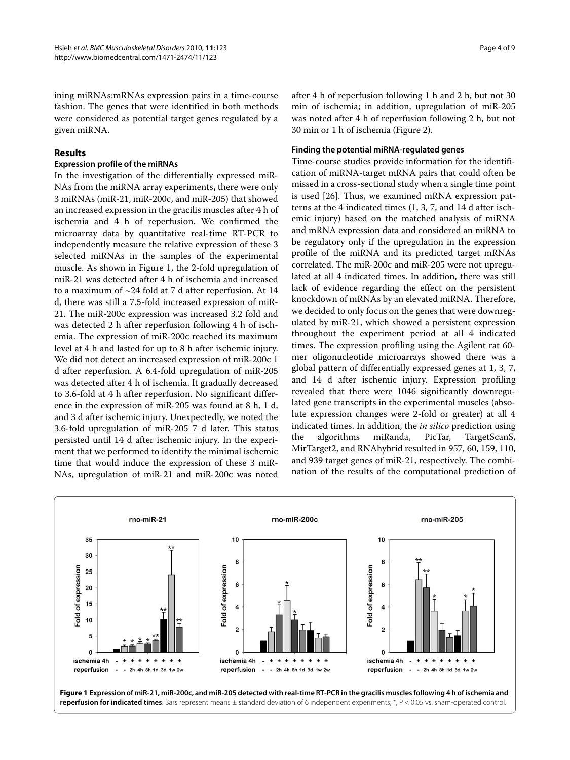ining miRNAs:mRNAs expression pairs in a time-course fashion. The genes that were identified in both methods were considered as potential target genes regulated by a given miRNA.

## **Results**

#### **Expression profile of the miRNAs**

In the investigation of the differentially expressed miR-NAs from the miRNA array experiments, there were only 3 miRNAs (miR-21, miR-200c, and miR-205) that showed an increased expression in the gracilis muscles after 4 h of ischemia and 4 h of reperfusion. We confirmed the microarray data by quantitative real-time RT-PCR to independently measure the relative expression of these 3 selected miRNAs in the samples of the experimental muscle. As shown in Figure [1,](#page-3-0) the 2-fold upregulation of miR-21 was detected after 4 h of ischemia and increased to a maximum of ~24 fold at 7 d after reperfusion. At 14 d, there was still a 7.5-fold increased expression of miR-21. The miR-200c expression was increased 3.2 fold and was detected 2 h after reperfusion following 4 h of ischemia. The expression of miR-200c reached its maximum level at 4 h and lasted for up to 8 h after ischemic injury. We did not detect an increased expression of miR-200c 1 d after reperfusion. A 6.4-fold upregulation of miR-205 was detected after 4 h of ischemia. It gradually decreased to 3.6-fold at 4 h after reperfusion. No significant difference in the expression of miR-205 was found at 8 h, 1 d, and 3 d after ischemic injury. Unexpectedly, we noted the 3.6-fold upregulation of miR-205 7 d later. This status persisted until 14 d after ischemic injury. In the experiment that we performed to identify the minimal ischemic time that would induce the expression of these 3 miR-NAs, upregulation of miR-21 and miR-200c was noted

after 4 h of reperfusion following 1 h and 2 h, but not 30 min of ischemia; in addition, upregulation of miR-205 was noted after 4 h of reperfusion following 2 h, but not 30 min or 1 h of ischemia (Figure [2\)](#page-4-0).

#### **Finding the potential miRNA-regulated genes**

Time-course studies provide information for the identification of miRNA-target mRNA pairs that could often be missed in a cross-sectional study when a single time point is used [\[26\]](#page-7-22). Thus, we examined mRNA expression patterns at the 4 indicated times (1, 3, 7, and 14 d after ischemic injury) based on the matched analysis of miRNA and mRNA expression data and considered an miRNA to be regulatory only if the upregulation in the expression profile of the miRNA and its predicted target mRNAs correlated. The miR-200c and miR-205 were not upregulated at all 4 indicated times. In addition, there was still lack of evidence regarding the effect on the persistent knockdown of mRNAs by an elevated miRNA. Therefore, we decided to only focus on the genes that were downregulated by miR-21, which showed a persistent expression throughout the experiment period at all 4 indicated times. The expression profiling using the Agilent rat 60 mer oligonucleotide microarrays showed there was a global pattern of differentially expressed genes at 1, 3, 7, and 14 d after ischemic injury. Expression profiling revealed that there were 1046 significantly downregulated gene transcripts in the experimental muscles (absolute expression changes were 2-fold or greater) at all 4 indicated times. In addition, the *in silico* prediction using the algorithms miRanda, PicTar, TargetScanS, MirTarget2, and RNAhybrid resulted in 957, 60, 159, 110, and 939 target genes of miR-21, respectively. The combination of the results of the computational prediction of

<span id="page-3-0"></span>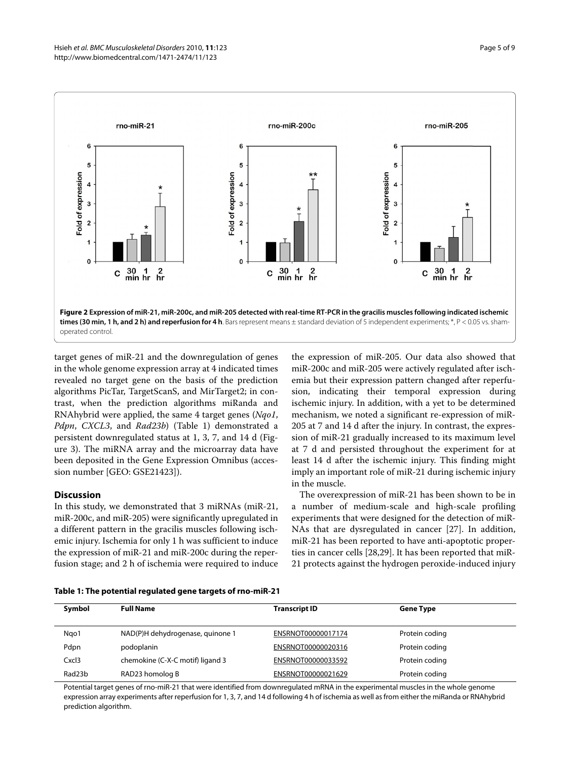<span id="page-4-0"></span>

target genes of miR-21 and the downregulation of genes in the whole genome expression array at 4 indicated times revealed no target gene on the basis of the prediction algorithms PicTar, TargetScanS, and MirTarget2; in contrast, when the prediction algorithms miRanda and RNAhybrid were applied, the same 4 target genes (*Nqo1*, *Pdpn*, *CXCL3*, and *Rad23b*) (Table 1) demonstrated a persistent downregulated status at 1, 3, 7, and 14 d (Figure [3\)](#page-5-0). The miRNA array and the microarray data have been deposited in the Gene Expression Omnibus (accession number [GEO: GSE21423]).

## **Discussion**

In this study, we demonstrated that 3 miRNAs (miR-21, miR-200c, and miR-205) were significantly upregulated in a different pattern in the gracilis muscles following ischemic injury. Ischemia for only 1 h was sufficient to induce the expression of miR-21 and miR-200c during the reperfusion stage; and 2 h of ischemia were required to induce

the expression of miR-205. Our data also showed that miR-200c and miR-205 were actively regulated after ischemia but their expression pattern changed after reperfusion, indicating their temporal expression during ischemic injury. In addition, with a yet to be determined mechanism, we noted a significant re-expression of miR-205 at 7 and 14 d after the injury. In contrast, the expression of miR-21 gradually increased to its maximum level at 7 d and persisted throughout the experiment for at least 14 d after the ischemic injury. This finding might imply an important role of miR-21 during ischemic injury in the muscle.

The overexpression of miR-21 has been shown to be in a number of medium-scale and high-scale profiling experiments that were designed for the detection of miR-NAs that are dysregulated in cancer [\[27](#page-7-23)]. In addition, miR-21 has been reported to have anti-apoptotic properties in cancer cells [[28](#page-7-24),[29](#page-7-25)]. It has been reported that miR-21 protects against the hydrogen peroxide-induced injury

| Symbol | <b>Full Name</b>                 | <b>Transcript ID</b> | <b>Gene Type</b> |  |
|--------|----------------------------------|----------------------|------------------|--|
| Ngo1   | NAD(P)H dehydrogenase, quinone 1 | ENSRNOT00000017174   | Protein coding   |  |
| Pdpn   | podoplanin                       | ENSRNOT00000020316   | Protein coding   |  |
| Cxcl3  | chemokine (C-X-C motif) ligand 3 | ENSRNOT00000033592   | Protein coding   |  |
| Rad23b | RAD23 homolog B                  | ENSRNOT00000021629   | Protein coding   |  |

Potential target genes of rno-miR-21 that were identified from downregulated mRNA in the experimental muscles in the whole genome expression array experiments after reperfusion for 1, 3, 7, and 14 d following 4 h of ischemia as well as from either the miRanda or RNAhybrid prediction algorithm.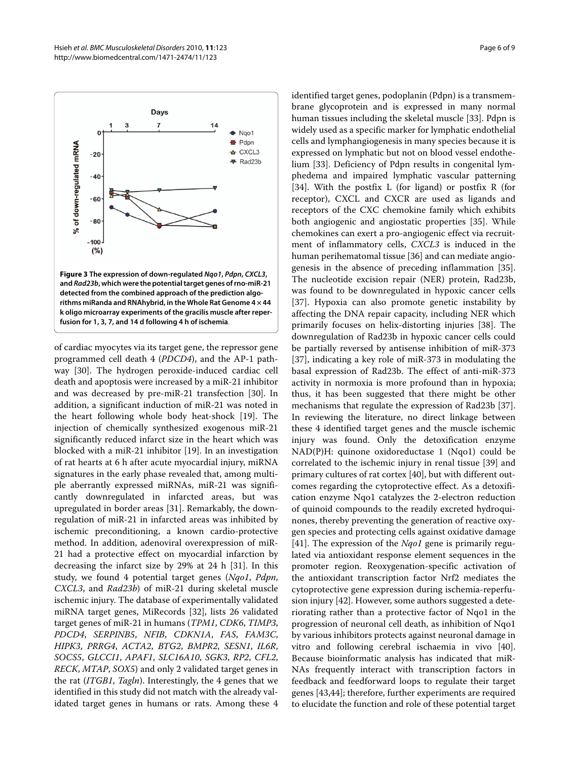<span id="page-5-0"></span>

of cardiac myocytes via its target gene, the repressor gene programmed cell death 4 (*PDCD4*), and the AP-1 pathway [[30](#page-7-26)]. The hydrogen peroxide-induced cardiac cell death and apoptosis were increased by a miR-21 inhibitor and was decreased by pre-miR-21 transfection [\[30](#page-7-26)]. In addition, a significant induction of miR-21 was noted in the heart following whole body heat-shock [[19\]](#page-7-16). The injection of chemically synthesized exogenous miR-21 significantly reduced infarct size in the heart which was blocked with a miR-21 inhibitor [\[19](#page-7-16)]. In an investigation of rat hearts at 6 h after acute myocardial injury, miRNA signatures in the early phase revealed that, among multiple aberrantly expressed miRNAs, miR-21 was significantly downregulated in infarcted areas, but was upregulated in border areas [[31\]](#page-7-27). Remarkably, the downregulation of miR-21 in infarcted areas was inhibited by ischemic preconditioning, a known cardio-protective method. In addition, adenoviral overexpression of miR-21 had a protective effect on myocardial infarction by decreasing the infarct size by 29% at 24 h [[31](#page-7-27)]. In this study, we found 4 potential target genes (*Nqo1*, *Pdpn*, *CXCL3*, and *Rad23b*) of miR-21 during skeletal muscle ischemic injury. The database of experimentally validated miRNA target genes, MiRecords [[32\]](#page-7-28), lists 26 validated target genes of miR-21 in humans (*TPM1*, *CDK6*, *TIMP3*, *PDCD4*, *SERPINB5*, *NFIB*, *CDKN1A*, *FAS*, *FAM3C*, *HIPK3*, *PRRG4*, *ACTA2*, *BTG2*, *BMPR2*, *SESN1*, *IL6R*, *SOCS5*, *GLCCI1*, *APAF1*, *SLC16A10*, *SGK3*, *RP2*, *CFL2*, *RECK*, *MTAP*, *SOX5*) and only 2 validated target genes in the rat (*ITGB1*, *Tagln*). Interestingly, the 4 genes that we identified in this study did not match with the already validated target genes in humans or rats. Among these 4

identified target genes, podoplanin (Pdpn) is a transmembrane glycoprotein and is expressed in many normal human tissues including the skeletal muscle [\[33](#page-7-29)]. Pdpn is widely used as a specific marker for lymphatic endothelial cells and lymphangiogenesis in many species because it is expressed on lymphatic but not on blood vessel endothelium [\[33\]](#page-7-29). Deficiency of Pdpn results in congenital lymphedema and impaired lymphatic vascular patterning [[34\]](#page-7-30). With the postfix L (for ligand) or postfix R (for receptor), CXCL and CXCR are used as ligands and receptors of the CXC chemokine family which exhibits both angiogenic and angiostatic properties [\[35\]](#page-7-31). While chemokines can exert a pro-angiogenic effect via recruitment of inflammatory cells, *CXCL3* is induced in the human perihematomal tissue [[36](#page-7-32)] and can mediate angiogenesis in the absence of preceding inflammation [\[35](#page-7-31)]. The nucleotide excision repair (NER) protein, Rad23b, was found to be downregulated in hypoxic cancer cells [[37\]](#page-7-33). Hypoxia can also promote genetic instability by affecting the DNA repair capacity, including NER which primarily focuses on helix-distorting injuries [[38](#page-7-34)]. The downregulation of Rad23b in hypoxic cancer cells could be partially reversed by antisense inhibition of miR-373 [[37\]](#page-7-33), indicating a key role of miR-373 in modulating the basal expression of Rad23b. The effect of anti-miR-373 activity in normoxia is more profound than in hypoxia; thus, it has been suggested that there might be other mechanisms that regulate the expression of Rad23b [\[37](#page-7-33)]. In reviewing the literature, no direct linkage between these 4 identified target genes and the muscle ischemic injury was found. Only the detoxification enzyme NAD(P)H: quinone oxidoreductase 1 (Nqo1) could be correlated to the ischemic injury in renal tissue [\[39](#page-7-35)] and primary cultures of rat cortex [\[40](#page-7-36)], but with different outcomes regarding the cytoprotective effect. As a detoxification enzyme Nqo1 catalyzes the 2-electron reduction of quinoid compounds to the readily excreted hydroquinones, thereby preventing the generation of reactive oxygen species and protecting cells against oxidative damage [[41\]](#page-7-37). The expression of the *Nqo1* gene is primarily regulated via antioxidant response element sequences in the promoter region. Reoxygenation-specific activation of the antioxidant transcription factor Nrf2 mediates the cytoprotective gene expression during ischemia-reperfusion injury [[42](#page-7-38)]. However, some authors suggested a deteriorating rather than a protective factor of Nqo1 in the progression of neuronal cell death, as inhibition of Nqo1 by various inhibitors protects against neuronal damage in vitro and following cerebral ischaemia in vivo [\[40](#page-7-36)]. Because bioinformatic analysis has indicated that miR-NAs frequently interact with transcription factors in feedback and feedforward loops to regulate their target genes [\[43](#page-8-0)[,44](#page-8-1)]; therefore, further experiments are required to elucidate the function and role of these potential target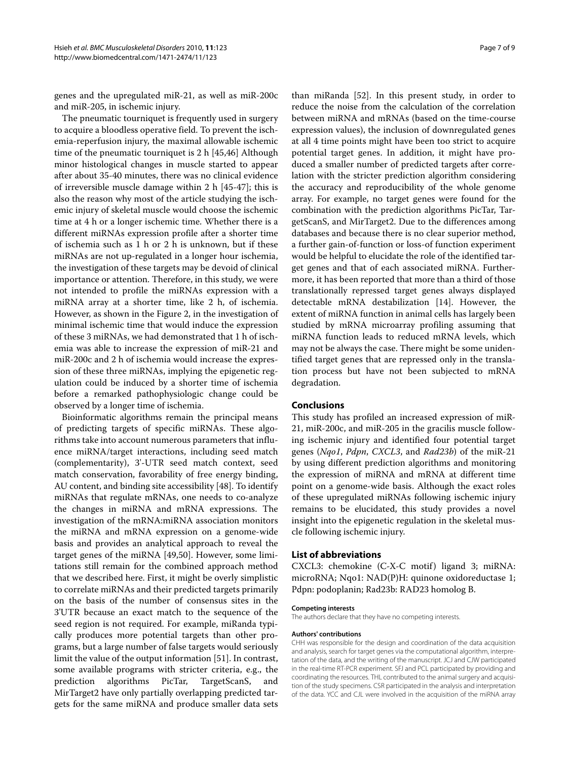genes and the upregulated miR-21, as well as miR-200c and miR-205, in ischemic injury.

The pneumatic tourniquet is frequently used in surgery to acquire a bloodless operative field. To prevent the ischemia-reperfusion injury, the maximal allowable ischemic time of the pneumatic tourniquet is 2 h [\[45](#page-8-2)[,46](#page-8-3)] Although minor histological changes in muscle started to appear after about 35-40 minutes, there was no clinical evidence of irreversible muscle damage within 2 h [[45-](#page-8-2)[47](#page-8-4)]; this is also the reason why most of the article studying the ischemic injury of skeletal muscle would choose the ischemic time at 4 h or a longer ischemic time. Whether there is a different miRNAs expression profile after a shorter time of ischemia such as 1 h or 2 h is unknown, but if these miRNAs are not up-regulated in a longer hour ischemia, the investigation of these targets may be devoid of clinical importance or attention. Therefore, in this study, we were not intended to profile the miRNAs expression with a miRNA array at a shorter time, like 2 h, of ischemia. However, as shown in the Figure [2](#page-4-0), in the investigation of minimal ischemic time that would induce the expression of these 3 miRNAs, we had demonstrated that 1 h of ischemia was able to increase the expression of miR-21 and miR-200c and 2 h of ischemia would increase the expression of these three miRNAs, implying the epigenetic regulation could be induced by a shorter time of ischemia before a remarked pathophysiologic change could be observed by a longer time of ischemia.

Bioinformatic algorithms remain the principal means of predicting targets of specific miRNAs. These algorithms take into account numerous parameters that influence miRNA/target interactions, including seed match (complementarity), 3'-UTR seed match context, seed match conservation, favorability of free energy binding, AU content, and binding site accessibility [[48\]](#page-8-5). To identify miRNAs that regulate mRNAs, one needs to co-analyze the changes in miRNA and mRNA expressions. The investigation of the mRNA:miRNA association monitors the miRNA and mRNA expression on a genome-wide basis and provides an analytical approach to reveal the target genes of the miRNA [\[49](#page-8-6)[,50](#page-8-7)]. However, some limitations still remain for the combined approach method that we described here. First, it might be overly simplistic to correlate miRNAs and their predicted targets primarily on the basis of the number of consensus sites in the 3'UTR because an exact match to the sequence of the seed region is not required. For example, miRanda typically produces more potential targets than other programs, but a large number of false targets would seriously limit the value of the output information [\[51](#page-8-8)]. In contrast, some available programs with stricter criteria, e.g., the prediction algorithms PicTar, TargetScanS, and MirTarget2 have only partially overlapping predicted targets for the same miRNA and produce smaller data sets

than miRanda [[52\]](#page-8-9). In this present study, in order to reduce the noise from the calculation of the correlation between miRNA and mRNAs (based on the time-course expression values), the inclusion of downregulated genes at all 4 time points might have been too strict to acquire potential target genes. In addition, it might have produced a smaller number of predicted targets after correlation with the stricter prediction algorithm considering the accuracy and reproducibility of the whole genome array. For example, no target genes were found for the combination with the prediction algorithms PicTar, TargetScanS, and MirTarget2. Due to the differences among databases and because there is no clear superior method, a further gain-of-function or loss-of function experiment would be helpful to elucidate the role of the identified target genes and that of each associated miRNA. Furthermore, it has been reported that more than a third of those translationally repressed target genes always displayed detectable mRNA destabilization [\[14](#page-7-11)]. However, the extent of miRNA function in animal cells has largely been studied by mRNA microarray profiling assuming that miRNA function leads to reduced mRNA levels, which may not be always the case. There might be some unidentified target genes that are repressed only in the translation process but have not been subjected to mRNA degradation.

#### **Conclusions**

This study has profiled an increased expression of miR-21, miR-200c, and miR-205 in the gracilis muscle following ischemic injury and identified four potential target genes (*Nqo1*, *Pdpn*, *CXCL3*, and *Rad23b*) of the miR-21 by using different prediction algorithms and monitoring the expression of miRNA and mRNA at different time point on a genome-wide basis. Although the exact roles of these upregulated miRNAs following ischemic injury remains to be elucidated, this study provides a novel insight into the epigenetic regulation in the skeletal muscle following ischemic injury.

#### **List of abbreviations**

CXCL3: chemokine (C-X-C motif) ligand 3; miRNA: microRNA; Nqo1: NAD(P)H: quinone oxidoreductase 1; Pdpn: podoplanin; Rad23b: RAD23 homolog B.

#### **Competing interests**

The authors declare that they have no competing interests.

#### **Authors' contributions**

CHH was responsible for the design and coordination of the data acquisition and analysis, search for target genes via the computational algorithm, interpretation of the data, and the writing of the manuscript. JCJ and CJW participated in the real-time RT-PCR experiment. SFJ and PCL participated by providing and coordinating the resources. THL contributed to the animal surgery and acquisition of the study specimens. CSR participated in the analysis and interpretation of the data. YCC and CJL were involved in the acquisition of the miRNA array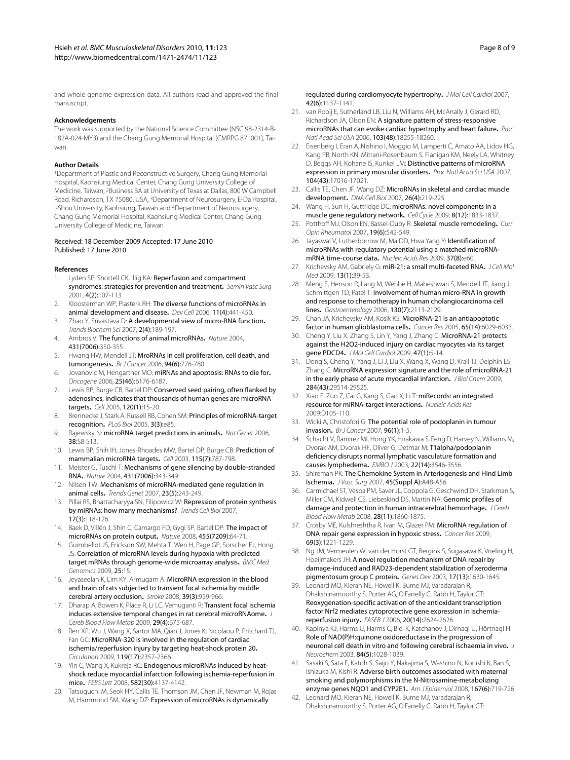and whole genome expression data. All authors read and approved the final manuscript.

#### **Acknowledgements**

The work was supported by the National Science Committee (NSC 98-2314-B-182A-024-MY3) and the Chang Gung Memorial Hospital (CMRPG 871001), Taiwan.

#### **Author Details**

1Department of Plastic and Reconstructive Surgery, Chang Gung Memorial Hospital, Kaohsiung Medical Center, Chang Gung University College of Medicine, Taiwan, 2Business BA at University of Texas at Dallas, 800 W Campbell Road, Richardson, TX 75080, USA, 3Department of Neurosurgery, E-Da Hospital, I-Shou University, Kaohsiung, Taiwan and 4Department of Neurosurgery, Chang Gung Memorial Hospital, Kaohsiung Medical Center, Chang Gung University College of Medicine, Taiwan

#### Received: 18 December 2009 Accepted: 17 June 2010 Published: 17 June 2010

#### **References**

- <span id="page-7-0"></span>Lyden SP, Shortell CK, Illig KA: Reperfusion and compartment syndromes: strategies for prevention and treatment**.** Semin Vasc Surg 2001, 4(2):107-113.
- <span id="page-7-1"></span>2. Kloosterman WP, Plasterk RH: The diverse functions of microRNAs in animal development and disease**.** Dev Cell 2006, 11(4):441-450.
- <span id="page-7-2"></span>3. Zhao Y, Srivastava D: A developmental view of micro-RNA function**.** Trends Biochem Sci 2007, 2(4):189-197.
- <span id="page-7-3"></span>4. Ambros V: The functions of animal microRNAs**.** Nature 2004, 431(7006):350-355.
- 5. Hwang HW, Mendell JT: MroRNAs in cell proliferation, cell death, and tumorigenesis**[.](http://www.ncbi.nlm.nih.gov/entrez/query.fcgi?cmd=Retrieve&db=PubMed&dopt=Abstract&list_uids=16495913)** Br J Cancer 2006, 94(6):776-780.
- <span id="page-7-4"></span>6. Jovanovic M, Hengartner MO: miRNAs and apoptosis: RNAs to die for**.** Oncogene 2006, 25(46):6176-6187.
- <span id="page-7-5"></span>7. Lewis BP, Burge CB, Bartel DP: Conserved seed pairing, often flanked by adenosines, indicates that thousands of human genes are microRNA targets**.** Cell 2005, 120(1):15-20.
- 8. Brennecke J, Stark A, Russell RB, Cohen SM: Principles of microRNA-target recognition**.** PLoS Biol 2005, 3(3):e85.
- <span id="page-7-6"></span>9. Rajewsky N: microRNA target predictions in animals**[.](http://www.ncbi.nlm.nih.gov/entrez/query.fcgi?cmd=Retrieve&db=PubMed&dopt=Abstract&list_uids=16736023)** Nat Genet 2006, 38:S8-S13.
- <span id="page-7-7"></span>10. Lewis BP, Shih IH, Jones-Rhoades MW, Bartel DP, Burge CB: Prediction of mammalian microRNA targets**[.](http://www.ncbi.nlm.nih.gov/entrez/query.fcgi?cmd=Retrieve&db=PubMed&dopt=Abstract&list_uids=14697198)** Cell 2003, 115(7):787-798.
- <span id="page-7-8"></span>11. Meister G, Tuschl T: Mechanisms of gene silencing by double-stranded RNA**.** Nature 2004, 431(7006):343-349.
- <span id="page-7-9"></span>12. Nilsen TW: Mechanisms of microRNA-mediated gene regulation in animal cells**.** Trends Genet 2007, 23(5):243-249.
- <span id="page-7-10"></span>13. Pillai RS, Bhattacharyya SN, Filipowicz W: Repression of protein synthesis by miRNAs: how many mechanisms? Trends Cell Biol 2007, 17(3):118-126.
- <span id="page-7-11"></span>14. Baek D, Villén J, Shin C, Camargo FD, Gygi SP, Bartel DP: The impact of microRNAs on protein output**[.](http://www.ncbi.nlm.nih.gov/entrez/query.fcgi?cmd=Retrieve&db=PubMed&dopt=Abstract&list_uids=18668037)** Nature 2008, 455(7209):64-71.
- <span id="page-7-12"></span>15. Guimbellot JS, Erickson SW, Mehta T, Wen H, Page GP, Sorscher EJ, Hong JS: Correlation of microRNA levels during hypoxia with predicted target mRNAs through genome-wide microarray analysis**.** BMC Med Genomics 2009, 25:15.
- <span id="page-7-13"></span>16. Jeyaseelan K, Lim KY, Armugam A: MicroRNA expression in the blood and brain of rats subjected to transient focal ischemia by middle cerebral artery occlusion**[.](http://www.ncbi.nlm.nih.gov/entrez/query.fcgi?cmd=Retrieve&db=PubMed&dopt=Abstract&list_uids=18258830)** Stroke 2008, 39(3):959-966.
- <span id="page-7-14"></span>17. Dharap A, Bowen K, Place R, Li LC, Vemuganti R: Transient focal ischemia induces extensive temporal changes in rat cerebral microRNAome**.** J Cereb Blood Flow Metab 2009, 29(4):675-687.
- <span id="page-7-15"></span>18. Ren XP, Wu J, Wang X, Sartor MA, Qian J, Jones K, Nicolaou P, Pritchard TJ, Fan GC: MicroRNA-320 is involved in the regulation of cardiac ischemia/reperfusion injury by targeting heat-shock protein 20**.** Circulation 2009, 119(17):2357-2366.
- <span id="page-7-16"></span>19. Yin C, Wang X, Kukreja RC: Endogenous microRNAs induced by heatshock reduce myocardial infarction following ischemia-reperfusion in mice**.** FEBS Lett 2008, 582(30):4137-4142.
- <span id="page-7-17"></span>20. Tatsuguchi M, Seok HY, Callis TE, Thomson JM, Chen JF, Newman M, Rojas M, Hammond SM, Wang DZ: Expression of microRNAs is dynamically

regulated during cardiomyocyte hypertrophy**.** J Mol Cell Cardiol 2007, 42(6):1137-1141.

- 21. van Rooij E, Sutherland LB, Liu N, Williams AH, McAnally J, Gerard RD, Richardson JA, Olson EN: A signature pattern of stress-responsive microRNAs that can evoke cardiac hypertrophy and heart failure**.** Proc Natl Acad Sci USA 2006, 103(48):18255-18260.
- <span id="page-7-18"></span>22. Eisenberg I, Eran A, Nishino I, Moggio M, Lamperti C, Amato AA, Lidov HG, Kang PB, North KN, Mitrani-Rosenbaum S, Flanigan KM, Neely LA, Whitney D, Beggs AH, Kohane IS, Kunkel LM: Distinctive patterns of microRNA expression in primary muscular disorders**.** Proc Natl Acad Sci USA 2007, 104(43):17016-17021.
- <span id="page-7-19"></span>23. Callis TE, Chen JF, Wang DZ: MicroRNAs in skeletal and cardiac muscle development**.** DNA Cell Biol 2007, 26(4):219-225.
- <span id="page-7-20"></span>24. Wang H, Sun H, Guttridge DC: microRNAs: novel components in a muscle gene regulatory network**.** Cell Cycle 2009, 8(12):1833-1837.
- <span id="page-7-21"></span>25. Potthoff MJ, Olson EN, Bassel-Duby R: Skeletal muscle remodeling**.** Curr Opin Rheumatol 2007, 19(6):542-549.
- <span id="page-7-22"></span>26. Jayaswal V, Lutherborrow M, Ma DD, Hwa Yang Y: Identification of microRNAs with regulatory potential using a matched microRNAmRNA time-course data**.** Nucleic Acids Res 2009, 37(8):e60.
- <span id="page-7-23"></span>27. Krichevsky AM, Gabriely G: miR-21: a small multi-faceted RNA**.** J Cell Mol Med 2009, 13(1):39-53.
- <span id="page-7-24"></span>28. Meng F, Henson R, Lang M, Wehbe H, Maheshwari S, Mendell JT, Jiang J, Schmittgen TD, Patel T: Involvement of human micro-RNA in growth and response to chemotherapy in human cholangiocarcinoma cell lines**.** Gastroenterology 2006, 130(7):2113-2129.
- <span id="page-7-25"></span>29. Chan JA, Krichevsky AM, Kosik KS: MicroRNA-21 is an antiapoptotic factor in human glioblastoma cells**.** Cancer Res 2005, 65(14):6029-6033.
- <span id="page-7-26"></span>30. Cheng Y, Liu X, Zhang S, Lin Y, Yang J, Zhang C: MicroRNA-21 protects against the H2O2-induced injury on cardiac myocytes via its target gene PDCD4**[.](http://www.ncbi.nlm.nih.gov/entrez/query.fcgi?cmd=Retrieve&db=PubMed&dopt=Abstract&list_uids=19336275)** J Mol Cell Cardiol 2009, 47(1):5-14.
- <span id="page-7-27"></span>31. Dong S, Cheng Y, Yang J, Li J, Liu X, Wang X, Wang D, Krall TJ, Delphin ES, Zhang C: MicroRNA expression signature and the role of microRNA-21 in the early phase of acute myocardial infarction**.** J Biol Chem 2009, 284(43):29514-29525.
- <span id="page-7-28"></span>32. Xiao F, Zuo Z, Cai G, Kang S, Gao X, Li T: miRecords: an integrated resource for miRNA-target interactions**.** Nucleic Acids Res 2009:D105-110.
- <span id="page-7-29"></span>33. Wicki A, Christofori G: The potential role of podoplanin in tumour invasion**.** Br J Cancer 2007, 96(1):1-5.
- <span id="page-7-30"></span>34. Schacht V, Ramirez MI, Hong YK, Hirakawa S, Feng D, Harvey N, Williams M, Dvorak AM, Dvorak HF, Oliver G, Detmar M: T1alpha/podoplanin deficiency disrupts normal lymphatic vasculature formation and causes lymphedema**.** EMBO J 2003, 22(14):3546-3556.
- <span id="page-7-31"></span>35. Shireman PK: The Chemokine System in Arteriogenesis and Hind Limb Ischemia**[.](http://www.ncbi.nlm.nih.gov/entrez/query.fcgi?cmd=Retrieve&db=PubMed&dopt=Abstract&list_uids=17544024)** J Vasc Surg 2007, 45(Suppl A):A48-A56.
- <span id="page-7-32"></span>36. Carmichael ST, Vespa PM, Saver JL, Coppola G, Geschwind DH, Starkman S, Miller CM, Kidwell CS, Liebeskind DS, Martin NA: Genomic profiles of damage and protection in human intracerebral hemorrhage**.** J Cereb Blood Flow Metab 2008, 28(11):1860-1875.
- <span id="page-7-33"></span>37. Crosby ME, Kulshreshtha R, Ivan M, Glazer PM: MicroRNA regulation of DNA repair gene expression in hypoxic stress**.** Cancer Res 2009, 69(3):1221-1229.
- <span id="page-7-34"></span>38. Ng JM, Vermeulen W, van der Horst GT, Bergink S, Sugasawa K, Vrieling H, Hoeijmakers JH: A novel regulation mechanism of DNA repair by damage-induced and RAD23-dependent stabilization of xeroderma pigmentosum group C protein**.** Genes Dev 2003, 17(13):1630-1645.
- <span id="page-7-35"></span>39. Leonard MO, Kieran NE, Howell K, Burne MJ, Varadarajan R, Dhakshinamoorthy S, Porter AG, O'Farrelly C, Rabb H, Taylor CT: Reoxygenation-specific activation of the antioxidant transcription factor Nrf2 mediates cytoprotective gene expression in ischemiareperfusion injury**[.](http://www.ncbi.nlm.nih.gov/entrez/query.fcgi?cmd=Retrieve&db=PubMed&dopt=Abstract&list_uids=17142801)** FASEB J 2006, 20(14):2624-2626.
- <span id="page-7-36"></span>40. Kapinya KJ, Harms U, Harms C, Blei K, Katchanov J, Dirnagl U, Hörtnagl H: Role of NAD(P)H:quinone oxidoreductase in the progression of neuronal cell death in vitro and following cerebral ischaemia in vivo**[.](http://www.ncbi.nlm.nih.gov/entrez/query.fcgi?cmd=Retrieve&db=PubMed&dopt=Abstract&list_uids=12603827)** J Neurochem 2003, 84(5):1028-1039.
- <span id="page-7-37"></span>41. Sasaki S, Sata F, Katoh S, Saijo Y, Nakajima S, Washino N, Konishi K, Ban S, Ishizuka M, Kishi R: Adverse birth outcomes associated with maternal smoking and polymorphisms in the N-Nitrosamine-metabolizing enzyme genes NQO1 and CYP2E1**.** Am J Epidemiol 2008, 167(6):719-726.
- <span id="page-7-38"></span>42. Leonard MO, Kieran NE, Howell K, Burne MJ, Varadarajan R, Dhakshinamoorthy S, Porter AG, O'Farrelly C, Rabb H, Taylor CT: